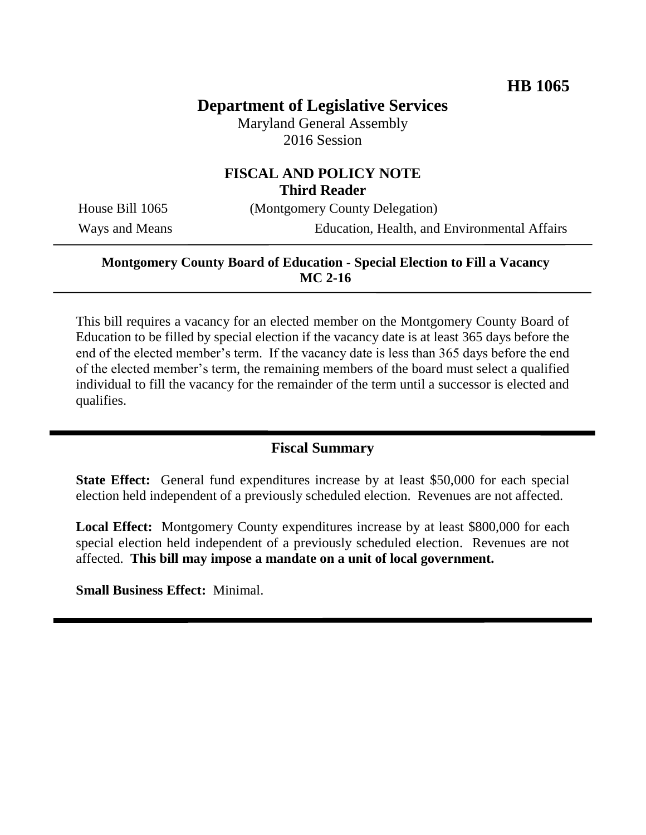# **Department of Legislative Services**

Maryland General Assembly 2016 Session

### **FISCAL AND POLICY NOTE Third Reader**

House Bill 1065 (Montgomery County Delegation)

Ways and Means Education, Health, and Environmental Affairs

#### **Montgomery County Board of Education - Special Election to Fill a Vacancy MC 2-16**

This bill requires a vacancy for an elected member on the Montgomery County Board of Education to be filled by special election if the vacancy date is at least 365 days before the end of the elected member's term. If the vacancy date is less than 365 days before the end of the elected member's term, the remaining members of the board must select a qualified individual to fill the vacancy for the remainder of the term until a successor is elected and qualifies.

### **Fiscal Summary**

**State Effect:** General fund expenditures increase by at least \$50,000 for each special election held independent of a previously scheduled election. Revenues are not affected.

**Local Effect:** Montgomery County expenditures increase by at least \$800,000 for each special election held independent of a previously scheduled election. Revenues are not affected. **This bill may impose a mandate on a unit of local government.**

**Small Business Effect:** Minimal.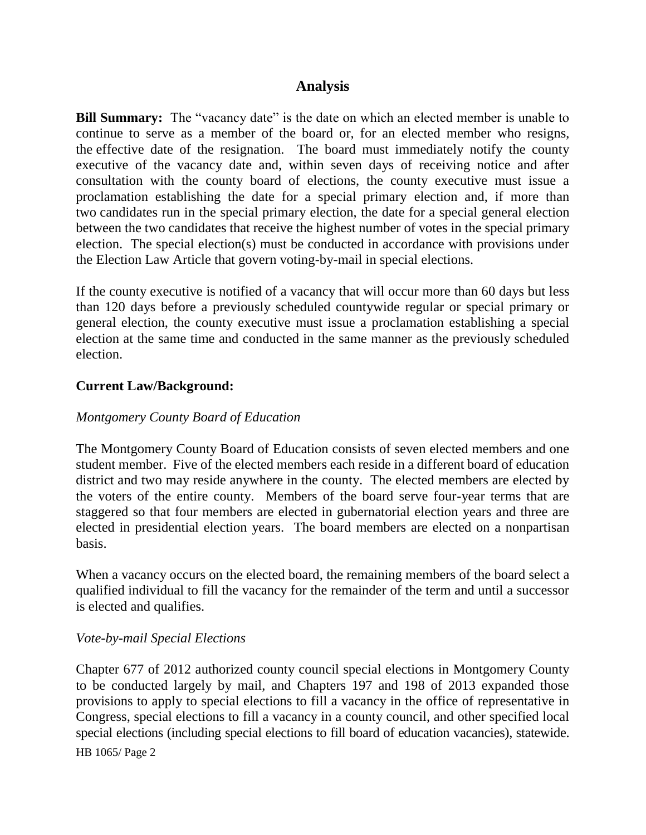### **Analysis**

**Bill Summary:** The "vacancy date" is the date on which an elected member is unable to continue to serve as a member of the board or, for an elected member who resigns, the effective date of the resignation. The board must immediately notify the county executive of the vacancy date and, within seven days of receiving notice and after consultation with the county board of elections, the county executive must issue a proclamation establishing the date for a special primary election and, if more than two candidates run in the special primary election, the date for a special general election between the two candidates that receive the highest number of votes in the special primary election. The special election(s) must be conducted in accordance with provisions under the Election Law Article that govern voting-by-mail in special elections.

If the county executive is notified of a vacancy that will occur more than 60 days but less than 120 days before a previously scheduled countywide regular or special primary or general election, the county executive must issue a proclamation establishing a special election at the same time and conducted in the same manner as the previously scheduled election.

#### **Current Law/Background:**

#### *Montgomery County Board of Education*

The Montgomery County Board of Education consists of seven elected members and one student member. Five of the elected members each reside in a different board of education district and two may reside anywhere in the county. The elected members are elected by the voters of the entire county. Members of the board serve four-year terms that are staggered so that four members are elected in gubernatorial election years and three are elected in presidential election years. The board members are elected on a nonpartisan basis.

When a vacancy occurs on the elected board, the remaining members of the board select a qualified individual to fill the vacancy for the remainder of the term and until a successor is elected and qualifies.

#### *Vote-by-mail Special Elections*

Chapter 677 of 2012 authorized county council special elections in Montgomery County to be conducted largely by mail, and Chapters 197 and 198 of 2013 expanded those provisions to apply to special elections to fill a vacancy in the office of representative in Congress, special elections to fill a vacancy in a county council, and other specified local special elections (including special elections to fill board of education vacancies), statewide.

HB 1065/ Page 2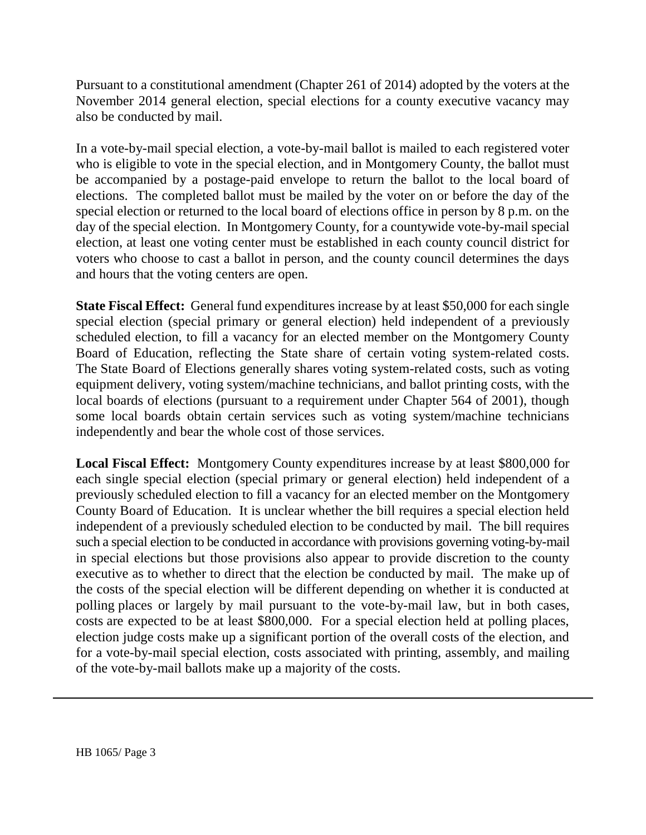Pursuant to a constitutional amendment (Chapter 261 of 2014) adopted by the voters at the November 2014 general election, special elections for a county executive vacancy may also be conducted by mail.

In a vote-by-mail special election, a vote-by-mail ballot is mailed to each registered voter who is eligible to vote in the special election, and in Montgomery County, the ballot must be accompanied by a postage-paid envelope to return the ballot to the local board of elections. The completed ballot must be mailed by the voter on or before the day of the special election or returned to the local board of elections office in person by 8 p.m. on the day of the special election. In Montgomery County, for a countywide vote-by-mail special election, at least one voting center must be established in each county council district for voters who choose to cast a ballot in person, and the county council determines the days and hours that the voting centers are open.

**State Fiscal Effect:** General fund expenditures increase by at least \$50,000 for each single special election (special primary or general election) held independent of a previously scheduled election, to fill a vacancy for an elected member on the Montgomery County Board of Education, reflecting the State share of certain voting system-related costs. The State Board of Elections generally shares voting system-related costs, such as voting equipment delivery, voting system/machine technicians, and ballot printing costs, with the local boards of elections (pursuant to a requirement under Chapter 564 of 2001), though some local boards obtain certain services such as voting system/machine technicians independently and bear the whole cost of those services.

**Local Fiscal Effect:** Montgomery County expenditures increase by at least \$800,000 for each single special election (special primary or general election) held independent of a previously scheduled election to fill a vacancy for an elected member on the Montgomery County Board of Education. It is unclear whether the bill requires a special election held independent of a previously scheduled election to be conducted by mail. The bill requires such a special election to be conducted in accordance with provisions governing voting-by-mail in special elections but those provisions also appear to provide discretion to the county executive as to whether to direct that the election be conducted by mail. The make up of the costs of the special election will be different depending on whether it is conducted at polling places or largely by mail pursuant to the vote-by-mail law, but in both cases, costs are expected to be at least \$800,000. For a special election held at polling places, election judge costs make up a significant portion of the overall costs of the election, and for a vote-by-mail special election, costs associated with printing, assembly, and mailing of the vote-by-mail ballots make up a majority of the costs.